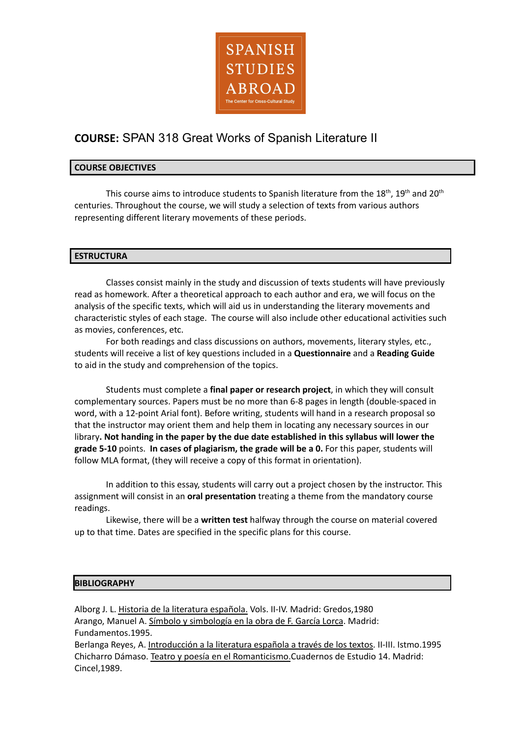

# **COURSE:** SPAN 318 Great Works of Spanish Literature II

# **COURSE OBJECTIVES**

This course aims to introduce students to Spanish literature from the 18<sup>th</sup>, 19<sup>th</sup> and 20<sup>th</sup> centuries. Throughout the course, we will study a selection of texts from various authors representing different literary movements of these periods.

# **ESTRUCTURA**

Classes consist mainly in the study and discussion of texts students will have previously read as homework. After a theoretical approach to each author and era, we will focus on the analysis of the specific texts, which will aid us in understanding the literary movements and characteristic styles of each stage. The course will also include other educational activities such as movies, conferences, etc.

For both readings and class discussions on authors, movements, literary styles, etc., students will receive a list of key questions included in a **Questionnaire** and a **Reading Guide** to aid in the study and comprehension of the topics.

Students must complete a **final paper or research project**, in which they will consult complementary sources. Papers must be no more than 6-8 pages in length (double-spaced in word, with a 12-point Arial font). Before writing, students will hand in a research proposal so that the instructor may orient them and help them in locating any necessary sources in our library**. Not handing in the paper by the due date established in this syllabus will lower the grade 5-10** points. **In cases of plagiarism, the grade will be a 0.** For this paper, students will follow MLA format, (they will receive a copy of this format in orientation).

In addition to this essay, students will carry out a project chosen by the instructor. This assignment will consist in an **oral presentation** treating a theme from the mandatory course readings.

Likewise, there will be a **written test** halfway through the course on material covered up to that time. Dates are specified in the specific plans for this course.

## **BIBLIOGRAPHY**

Alborg J. L. Historia de la literatura española. Vols. II-IV. Madrid: Gredos,1980 Arango, Manuel A. Símbolo y simbología en la obra de F. García Lorca. Madrid: Fundamentos.1995. Berlanga Reyes, A. *Introducción a la literatura española a través de los textos*. II-III. Istmo.1995

Chicharro Dámaso. Teatro y poesía en el Romanticismo.Cuadernos de Estudio 14. Madrid: Cincel,1989.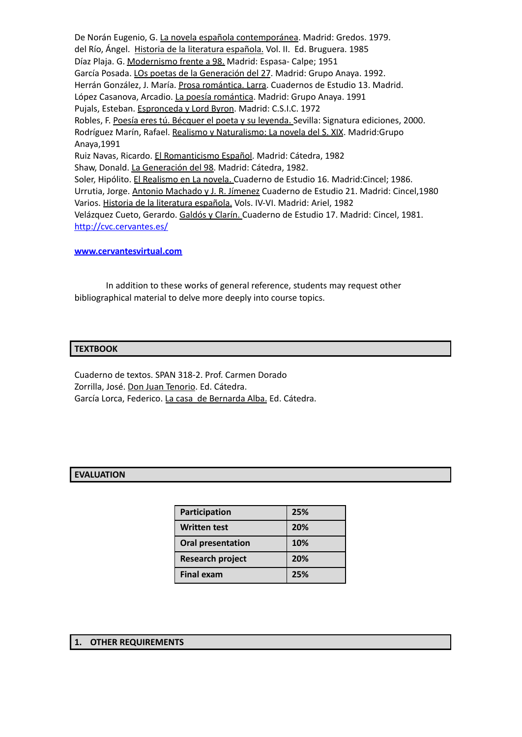De Norán Eugenio, G. La novela española contemporánea. Madrid: Gredos. 1979. del Río, Ángel. Historia de la literatura española. Vol. II. Ed. Bruguera. 1985 Díaz Plaja. G. Modernismo frente a 98. Madrid: Espasa- Calpe; 1951 García Posada. LOs poetas de la Generación del 27. Madrid: Grupo Anaya. 1992. Herrán González, J. María. Prosa romántica. Larra. Cuadernos de Estudio 13. Madrid. López Casanova, Arcadio. La poesía romántica. Madrid: Grupo Anaya. 1991 Pujals, Esteban. Espronceda y Lord Byron. Madrid: C.S.I.C. 1972 Robles, F. Poesía eres tú. Bécquer el poeta y su leyenda. Sevilla: Signatura ediciones, 2000. Rodríguez Marín, Rafael. Realismo y Naturalismo: La novela del S. XIX. Madrid:Grupo Anaya,1991 Ruiz Navas, Ricardo. El Romanticismo Español. Madrid: Cátedra, 1982 Shaw, Donald. La Generación del 98. Madrid: Cátedra, 1982. Soler, Hipólito. El Realismo en La novela. Cuaderno de Estudio 16. Madrid:Cincel; 1986. Urrutia, Jorge. Antonio Machado y J. R. Jímenez Cuaderno de Estudio 21. Madrid: Cincel,1980 Varios. Historia de la literatura española. Vols. IV-VI. Madrid: Ariel, 1982 Velázquez Cueto, Gerardo. Galdós y Clarín. Cuaderno de Estudio 17. Madrid: Cincel, 1981. <http://cvc.cervantes.es/>

#### **[www.cervantesvirtual.com](http://www.cervantesvirtual.com)**

In addition to these works of general reference, students may request other bibliographical material to delve more deeply into course topics.

#### **TEXTBOOK**

Cuaderno de textos. SPAN 318-2. Prof. Carmen Dorado Zorrilla, José. Don Juan Tenorio. Ed. Cátedra. García Lorca, Federico. La casa de Bernarda Alba. Ed. Cátedra.

## **EVALUATION**

| Participation            | 25% |
|--------------------------|-----|
| <b>Written test</b>      | 20% |
| <b>Oral presentation</b> | 10% |
| <b>Research project</b>  | 20% |
| <b>Final exam</b>        | 25% |

#### **1. OTHER REQUIREMENTS**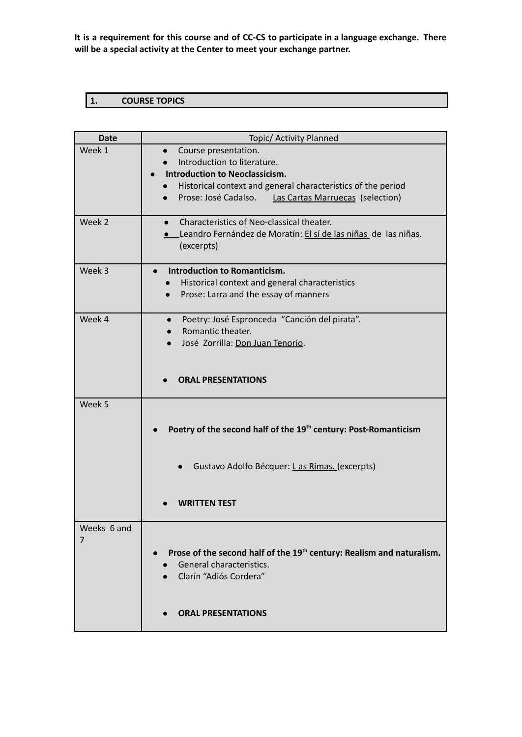**It is a requirement for this course and of CC-CS to participate in a language exchange. There will be a special activity at the Center to meet your exchange partner.**

# **1. COURSE TOPICS**

| Date        | Topic/ Activity Planned                                                           |
|-------------|-----------------------------------------------------------------------------------|
| Week 1      | Course presentation.<br>$\bullet$                                                 |
|             | Introduction to literature.                                                       |
|             | <b>Introduction to Neoclassicism.</b>                                             |
|             | Historical context and general characteristics of the period<br>$\bullet$         |
|             | Prose: José Cadalso.<br><b>Las Cartas Marruecas (selection)</b>                   |
|             |                                                                                   |
| Week 2      | Characteristics of Neo-classical theater.                                         |
|             | <b>e</b> Leandro Fernández de Moratín: El sí de las niñas de las niñas.           |
|             | (excerpts)                                                                        |
|             |                                                                                   |
| Week 3      | <b>Introduction to Romanticism.</b><br>$\bullet$                                  |
|             | Historical context and general characteristics                                    |
|             | Prose: Larra and the essay of manners                                             |
|             |                                                                                   |
| Week 4      | Poetry: José Espronceda "Canción del pirata".<br>$\bullet$                        |
|             | Romantic theater.                                                                 |
|             | José Zorrilla: Don Juan Tenorio.<br>$\bullet$                                     |
|             |                                                                                   |
|             |                                                                                   |
|             | <b>ORAL PRESENTATIONS</b>                                                         |
| Week 5      |                                                                                   |
|             |                                                                                   |
|             | Poetry of the second half of the 19 <sup>th</sup> century: Post-Romanticism       |
|             |                                                                                   |
|             |                                                                                   |
|             | Gustavo Adolfo Bécquer: Las Rimas. (excerpts)                                     |
|             |                                                                                   |
|             |                                                                                   |
|             | <b>WRITTEN TEST</b>                                                               |
|             |                                                                                   |
| Weeks 6 and |                                                                                   |
| 7           |                                                                                   |
|             | Prose of the second half of the 19 <sup>th</sup> century: Realism and naturalism. |
|             | General characteristics.                                                          |
|             | Clarín "Adiós Cordera"                                                            |
|             |                                                                                   |
|             |                                                                                   |
|             | <b>ORAL PRESENTATIONS</b>                                                         |
|             |                                                                                   |